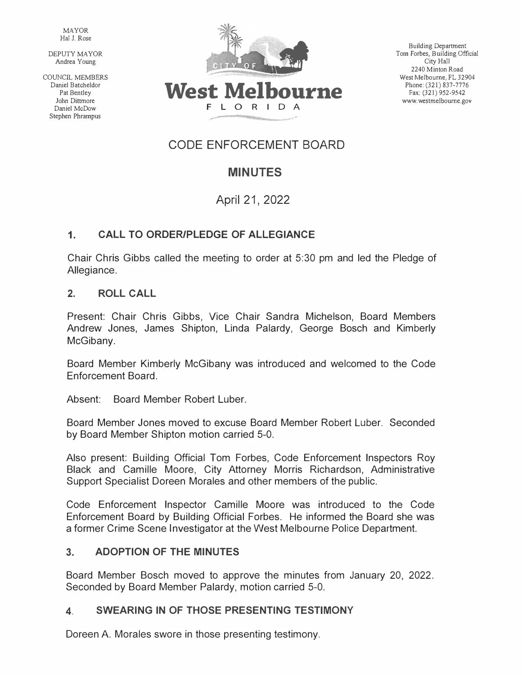MAYOR Hal J. Rose

DEPUTY MAYOR Andrea Young

COUNCIL MEMBERS Daniel Batcheldor Pat Bentley John Dittmore Daniel McDow Stephen Phrampus



Building Department Tom Forbes, Building Official City Hall 2240 Minton Road West Melbourne, FL 32904 Phone: (321) 837-7776 Fax: (321) 952-9542 www.westmelbourne.gov

# CODE ENFORCEMENT BOARD

**West Melbourne F L ORID A** 

# **MINUTES**

## April 21, 2022

### **1. CALL TO ORDER/PLEDGE OF ALLEGIANCE**

Chair Chris Gibbs called the meeting to order at 5:30 pm and led the Pledge of Allegiance.

### **2. ROLL CALL**

Present: Chair Chris Gibbs, Vice Chair Sandra Michelson, Board Members Andrew Jones, James Shipton, Linda Palardy, George Bosch and Kimberly McGibany.

Board Member Kimberly McGibany was introduced and welcomed to the Code Enforcement Board.

Absent: Board Member Robert Luber.

Board Member Jones moved to excuse Board Member Robert Luber. Seconded by Board Member Shipton motion carried 5-0.

Also present: Building Official Tom Forbes, Code Enforcement Inspectors Roy Black and Camille Moore, City Attorney Morris Richardson, Administrative Support Specialist Doreen Morales and other members of the public.

Code Enforcement Inspector Camille Moore was introduced to the Code Enforcement Board by Building Official Forbes. He informed the Board she was a former Crime Scene Investigator at the West Melbourne Police Department.

### **3. ADOPTION OF THE MINUTES**

Board Member Bosch moved to approve the minutes from January 20, 2022. Seconded by Board Member Palardy, motion carried 5-0.

### **4. SWEARING IN OF THOSE PRESENTING TESTIMONY**

Doreen A. Morales swore in those presenting testimony.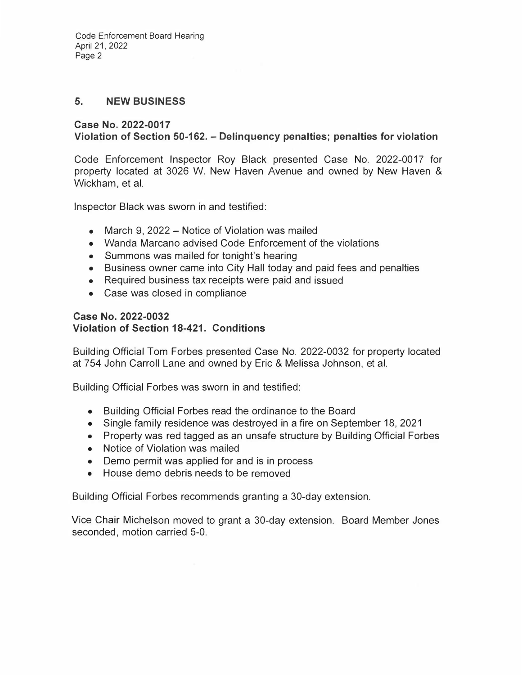#### **5. NEW BUSINESS**

#### **Case No. 2022-0017 Violation of Section 50-162. - Delinquency penalties; penalties for violation**

Code Enforcement Inspector Roy Black presented Case No. 2022-0017 for property located at 3026 W. New Haven Avenue and owned by New Haven & Wickham, et al.

Inspector Black was sworn in and testified:

- March 9, 2022 Notice of Violation was mailed
- Wanda Marcano advised Code Enforcement of the violations
- Summons was mailed for tonight's hearing
- Business owner came into City Hall today and paid fees and penalties
- Required business tax receipts were paid and issued
- Case was closed in compliance

#### **Case No. 2022-0032 Violation of Section 18-421. Conditions**

Building Official Tom Forbes presented Case No. 2022-0032 for property located at 754 John Carroll Lane and owned by Eric & Melissa Johnson, et al.

Building Official Forbes was sworn in and testified:

- Building Official Forbes read the ordinance to the Board
- Single family residence was destroyed in a fire on September 18, 2021
- Property was red tagged as an unsafe structure by Building Official Forbes
- Notice of Violation was mailed
- Demo permit was applied for and is in process
- House demo debris needs to be removed

Building Official Forbes recommends granting a 30-day extension.

Vice Chair Michelson moved to grant a 30-day extension. Board Member Jones seconded, motion carried 5-0.